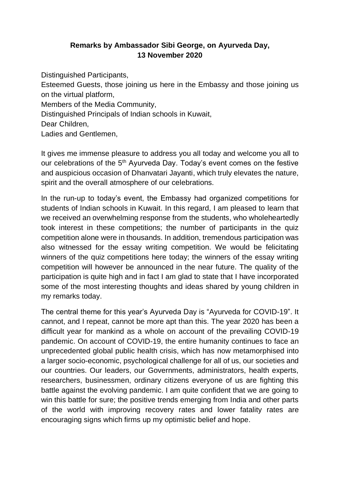## **Remarks by Ambassador Sibi George, on Ayurveda Day, 13 November 2020**

Distinguished Participants,

Esteemed Guests, those joining us here in the Embassy and those joining us on the virtual platform,

Members of the Media Community,

Distinguished Principals of Indian schools in Kuwait,

Dear Children,

Ladies and Gentlemen,

It gives me immense pleasure to address you all today and welcome you all to our celebrations of the 5<sup>th</sup> Ayurveda Day. Today's event comes on the festive and auspicious occasion of Dhanvatari Jayanti, which truly elevates the nature, spirit and the overall atmosphere of our celebrations.

In the run-up to today's event, the Embassy had organized competitions for students of Indian schools in Kuwait. In this regard, I am pleased to learn that we received an overwhelming response from the students, who wholeheartedly took interest in these competitions; the number of participants in the quiz competition alone were in thousands. In addition, tremendous participation was also witnessed for the essay writing competition. We would be felicitating winners of the quiz competitions here today; the winners of the essay writing competition will however be announced in the near future. The quality of the participation is quite high and in fact I am glad to state that I have incorporated some of the most interesting thoughts and ideas shared by young children in my remarks today.

The central theme for this year's Ayurveda Day is "Ayurveda for COVID-19". It cannot, and I repeat, cannot be more apt than this. The year 2020 has been a difficult year for mankind as a whole on account of the prevailing COVID-19 pandemic. On account of COVID-19, the entire humanity continues to face an unprecedented global public health crisis, which has now metamorphised into a larger socio-economic, psychological challenge for all of us, our societies and our countries. Our leaders, our Governments, administrators, health experts, researchers, businessmen, ordinary citizens everyone of us are fighting this battle against the evolving pandemic. I am quite confident that we are going to win this battle for sure; the positive trends emerging from India and other parts of the world with improving recovery rates and lower fatality rates are encouraging signs which firms up my optimistic belief and hope.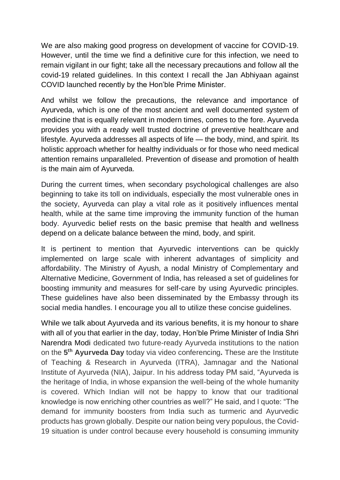We are also making good progress on development of vaccine for COVID-19. However, until the time we find a definitive cure for this infection, we need to remain vigilant in our fight; take all the necessary precautions and follow all the covid-19 related guidelines. In this context I recall the Jan Abhiyaan against COVID launched recently by the Hon'ble Prime Minister.

And whilst we follow the precautions, the relevance and importance of Ayurveda, which is one of the most ancient and well documented system of medicine that is equally relevant in modern times, comes to the fore. Ayurveda provides you with a ready well trusted doctrine of preventive healthcare and lifestyle. Ayurveda addresses all aspects of life — the body, mind, and spirit. Its holistic approach whether for healthy individuals or for those who need medical attention remains unparalleled. Prevention of disease and promotion of health is the main aim of Ayurveda.

During the current times, when secondary psychological challenges are also beginning to take its toll on individuals, especially the most vulnerable ones in the society, Ayurveda can play a vital role as it positively influences mental health, while at the same time improving the immunity function of the human body. Ayurvedic belief rests on the basic premise that health and wellness depend on a delicate balance between the mind, body, and spirit.

It is pertinent to mention that Ayurvedic interventions can be quickly implemented on large scale with inherent advantages of simplicity and affordability. The Ministry of Ayush, a nodal Ministry of Complementary and Alternative Medicine, Government of India, has released a set of guidelines for boosting immunity and measures for self-care by using Ayurvedic principles. These guidelines have also been disseminated by the Embassy through its social media handles. I encourage you all to utilize these concise guidelines.

While we talk about Ayurveda and its various benefits, it is my honour to share with all of you that earlier in the day, today, Hon'ble Prime Minister of India Shri Narendra Modi dedicated two future-ready Ayurveda institutions to the nation on the **5 th Ayurveda Day** today via video conferencing**.** These are the Institute of Teaching & Research in Ayurveda (ITRA), Jamnagar and the National Institute of Ayurveda (NIA), Jaipur. In his address today PM said, "Ayurveda is the heritage of India, in whose expansion the well-being of the whole humanity is covered. Which Indian will not be happy to know that our traditional knowledge is now enriching other countries as well?" He said, and I quote: "The demand for immunity boosters from India such as turmeric and Ayurvedic products has grown globally. Despite our nation being very populous, the Covid-19 situation is under control because every household is consuming immunity